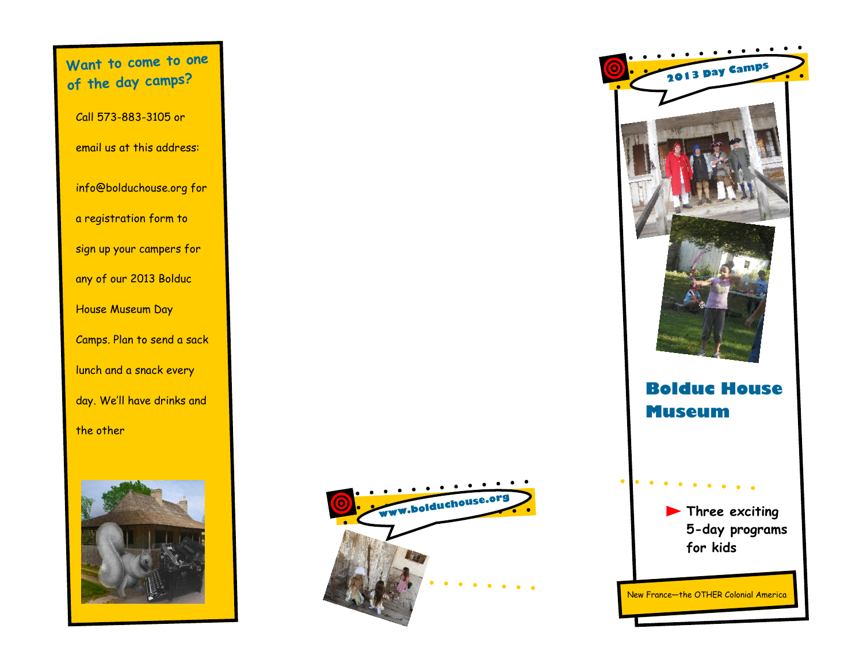**Want to come to one of the day camps?** Call 573-883-3105 or email us at this address: info@bolduchouse.org for a registration form to sign up your campers for any of our 2013 Bolduc House Museum Day Camps. Plan to send a sack lunch and a snack every day. We'll have drinks and the other